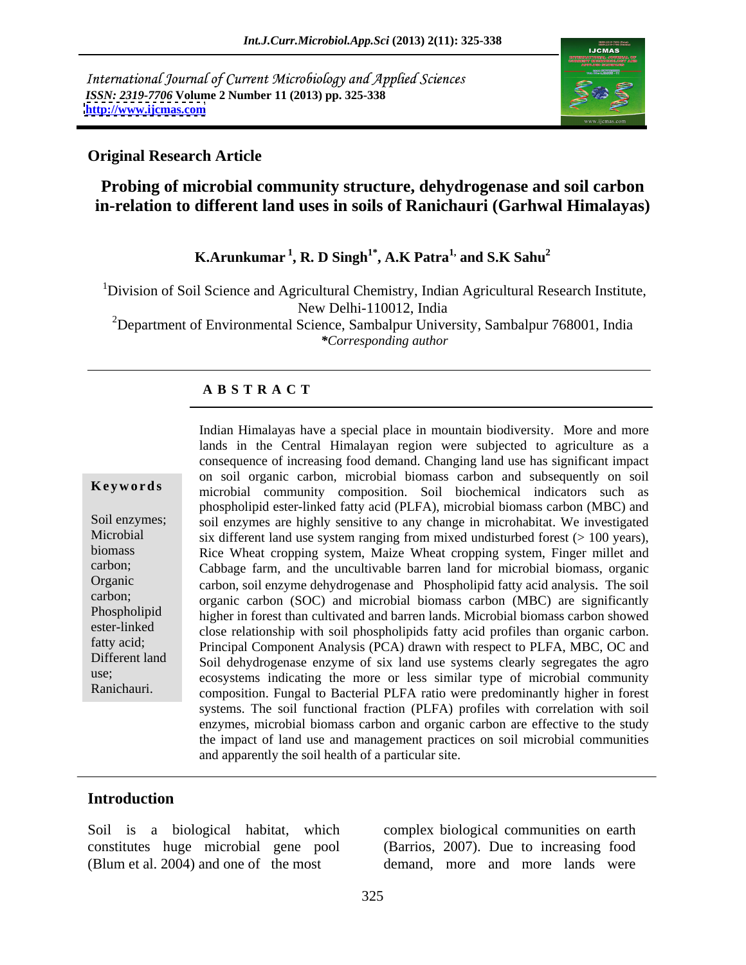International Journal of Current Microbiology and Applied Sciences *ISSN: 2319-7706* **Volume 2 Number 11 (2013) pp. 325-338 <http://www.ijcmas.com>**



### **Original Research Article**

# **Probing of microbial community structure, dehydrogenase and soil carbon in-relation to different land uses in soils of Ranichauri (Garhwal Himalayas)**

## **K.Arunkumar<sup>1</sup> , R. D Singh1\* , A.K Patra1, and S.K Sahu<sup>2</sup>**

<sup>1</sup>Division of Soil Science and Agricultural Chemistry, Indian Agricultural Research Institute, New Delhi-110012, India

<sup>2</sup>Department of Environmental Science, Sambalpur University, Sambalpur 768001, India *\*Corresponding author*

#### **A B S T R A C T**

**Keywords** microbial community composition. Soil biochemical indicators such as Soil enzymes; soil enzymes are highly sensitive to any change in microhabitat. We investigated Microbial six different land use system ranging from mixed undisturbed forest (> 100 years), biomass Rice Wheat cropping system, Maize Wheat cropping system, Finger millet and carbon; Cabbage farm, and the uncultivable barren land for microbial biomass, organic Organic carbon, soil enzyme dehydrogenase and Phospholipid fatty acid analysis. The soil carbon; organic carbon (SOC) and microbial biomass carbon (MBC) are significantly Phospholipid higher in forest than cultivated and barren lands. Microbial biomass carbon showed ester-linked close relationship with soil phospholipids fatty acid profiles than organic carbon. fatty acid; Principal Component Analysis (PCA) drawn with respect to PLFA, MBC, OC and Different land Soil dehydrogenase enzyme of six land use systems clearly segregates the agro use;<br>ecosystems indicating the more or less similar type of microbial community Ranichauri. composition. Fungal to Bacterial PLFA ratio were predominantly higher in forest Indian Himalayas have a special place in mountain biodiversity. More and more lands in the Central Himalayan region were subjected to agriculture as a consequence of increasing food demand. Changing land use has significant impact on soil organic carbon, microbial biomass carbon and subsequently on soil phospholipid ester-linked fatty acid (PLFA), microbial biomass carbon (MBC) and systems. The soil functional fraction (PLFA) profiles with correlation with soil enzymes, microbial biomass carbon and organic carbon are effective to the study the impact of land use and management practices on soil microbial communities and apparently the soil health of a particular site.

#### **Introduction**

Soil is a biological habitat, which complex biological communities on earth (Blum et al. 2004) and one of the most demand, more and more lands were

constitutes huge microbial gene pool (Barrios, 2007). Due to increasing food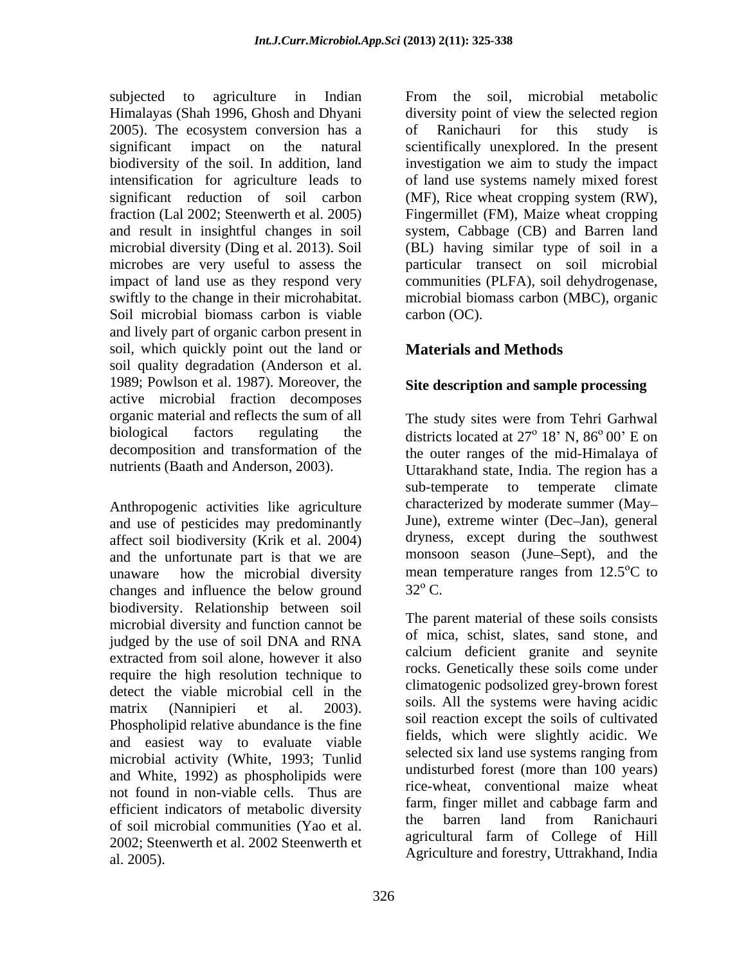intensification for agriculture leads to Soil microbial biomass carbon is viable carbon (OC). and lively part of organic carbon present in soil, which quickly point out the land or soil quality degradation (Anderson et al. 1989; Powlson et al. 1987). Moreover, the active microbial fraction decomposes organic material and reflects the sum of all

and use of pesticides may predominantly affect soil biodiversity (Krik et al. 2004) and the unfortunate part is that we are monsoon season (June–Sept), and the unaware how the microbial diversity mean temperature ranges from  $12.5^{\circ}$ C to unaware how the microbial diversity mean temperature ranges from  $12.5^{\circ}$ C to changes and influence the below ground  $32^{\circ}$  C. biodiversity. Relationship between soil microbial diversity and function cannot be judged by the use of soil DNA and RNA extracted from soil alone, however it also require the high resolution technique to detect the viable microbial cell in the matrix (Nannipieri et al. 2003). Sons All the systems were having actual Phospholipid relative abundance is the fine and easiest way to evaluate viable microbial activity (White, 1993; Tunlid and White, 1992) as phospholipids were not found in non-viable cells. Thus are efficient indicators of metabolic diversity<br>the barren land from Ranichauri of soil microbial communities (Yao et al. 2002; Steenwerth et al. 2002 Steenwerth et al. 2005). Agriculture and forestry, Uttrakhand, India

subjected to agriculture in Indian From the soil, microbial metabolic Himalayas (Shah 1996, Ghosh and Dhyani diversity point of view the selected region 2005). The ecosystem conversion has a correct and noticellarial for this study is significant impact on the natural scientifically unexplored. In the present biodiversity of the soil. In addition, land investigation we aim to study the impact significant reduction of soil carbon (MF), Rice wheat cropping system (RW), fraction (Lal 2002; Steenwerth et al. 2005) Fingermillet (FM), Maize wheat cropping and result in insightful changes in soil system, Cabbage (CB) and Barren land microbial diversity (Ding et al. 2013). Soil (BL) having similar type of soil in a microbes are very useful to assess the particular transect on soil microbial impact of land use as they respond very communities (PLFA), soil dehydrogenase, swiftly to the change in their microhabitat. microbial biomass carbon (MBC), organic of Ranichauri for this study is of land use systems namely mixed forest carbon (OC).

## **Materials and Methods**

### **Site description and sample processing**

biological factors regulating the districts located at 27° 18' N, 86° 00' E on decomposition and transformation of the the outer ranges of the mid-Himalaya of nutrients (Baath and Anderson, 2003).<br>
Uttarakhand state, India. The region has a<br>
sub-temperate to temperate climate<br>
characterized by moderate summer (May–<br>
Characterized by moderate summer (May– The study sites were from Tehri Garhwal Uttarakhand state, India. The region has a sub-temperate to temperate climate characterized by moderate summer (May June), extreme winter (Dec-Jan), general dryness, except during the southwest monsoon season (June Sept), and the mean temperature ranges from  $12.5^{\circ}$ C to  $32^{\circ}$  C.

> The parent material of these soils consists of mica, schist, slates, sand stone, and calcium deficient granite and seynite rocks. Genetically these soils come under climatogenic podsolized grey-brown forest soils. All the systems were having acidic soil reaction except the soils of cultivated fields, which were slightly acidic. We selected six land use systems ranging from undisturbed forest (more than 100 years) rice-wheat, conventional maize wheat farm, finger millet and cabbage farm and the barren land from Ranichauri agricultural farm of College of Hill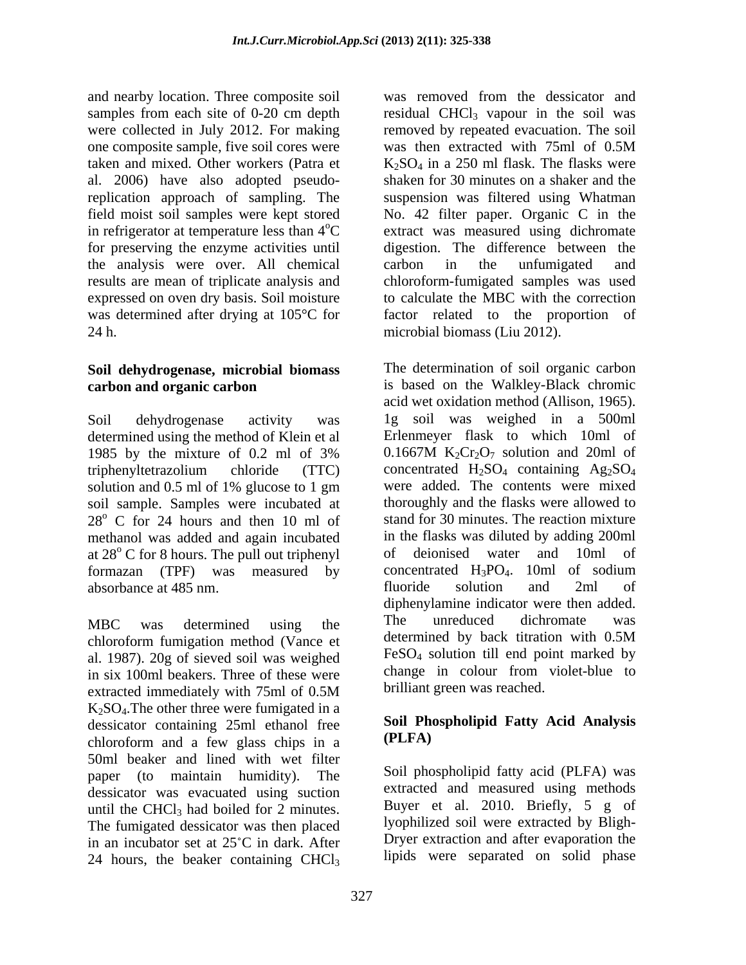and nearby location. Three composite soil was removed from the dessicator and samples from each site of 0-20 cm depth were collected in July 2012. For making removed by repeated evacuation. The soil one composite sample, five soil cores were was then extracted with 75ml of 0.5M taken and mixed. Other workers (Patra et  $K_2SO_4$  in a 250 ml flask. The flasks were al. 2006) have also adopted pseudoreplication approach of sampling. The suspension was filtered using Whatman field moist soil samples were kept stored No. 42 filter paper. Organic C in the in refrigerator at temperature less than  $4^{\circ}$ C extract was measured using dichromate for preserving the enzyme activities until the analysis were over. All chemical results are mean of triplicate analysis and chloroform-fumigated samples was used expressed on oven dry basis. Soil moisture to calculate the MBC with the correction was determined after drying at 105°C for factor related to the proportion of 24 h. microbial biomass (Liu 2012).

## **Soil dehydrogenase, microbial biomass**

determined using the method of Klein et al Erlenmeyer flask to which 10ml of 1985 by the mixture of 0.2 ml of 3% 0.1667M K<sub>2</sub>Cr<sub>2</sub>O<sub>7</sub> solution and 20ml of solution and 0.5 ml of 1% glucose to 1 gm  $28^{\circ}$  C for 24 hours and then 10 ml of methanol was added and again incubated in the flasks was diluted by adding 20 at 28° C for 8 hours. The pull out triphenyl of deionised water and 10ml formazan (TPF) was measured by concentrated H<sub>3</sub>PO<sub>4</sub>. 10ml of sodium absorbance at 485 nm.

chloroform fumigation method (Vance et determined by back titration with 0.5M) al. 1987). 20g of sieved soil was weighed in six 100ml beakers. Three of these were extracted immediately with 75ml of 0.5M brilliant green was reached.  $K<sub>2</sub>SO<sub>4</sub>$ . The other three were fumigated in a dessicator containing  $25$ ml ethanol free Soil Photographs chips in a (PLFA) chloroform and a few glass chips in a 50ml beaker and lined with wet filter paper (to maintain humidity). The dessicator was evacuated using suction until the CHCl<sub>3</sub> had boiled for 2 minutes. The fumigated dessicator was then placed in an incubator set at  $25^{\circ}$ C in dark. After 24 hours, the beaker containing  $CHCl<sub>3</sub>$ 

residual  $CHCl<sub>3</sub>$  vapour in the soil was was then extracted with 75ml of 0.5M shaken for 30 minutes on a shaker and the digestion. The difference between the carbon in the unfumigated and

**carbon and organic carbon** is based on the Walkley-Black chromic Soil dehydrogenase activity was 1g soil was weighed in a 500ml 1985 by the mixture of 0.2 ml of 3% 0.1667M  $K_2Cr_2O_7$  solution and 20ml of triphenyltetrazolium chloride (TTC) concentrated  $H_2SO_4$  containing  $Ag_2SO_4$ soil sample. Samples were incubated at thoroughly and the flasks were allowed to at 28<sup>°</sup> C for 8 hours. The pull out triphenyl of deionised water and 10ml of MBC was determined using the 1he unreduced dichromate was The determination of soil organic carbon acid wet oxidation method (Allison, 1965). Erlenmeyer flask to which 10ml of 0.1667M  $K_2Cr_2O_7$  solution and 20ml of concentrated  $H_2SO_4$  containing  $Ag_2SO_4$ were added. The contents were mixed stand for 30 minutes. The reaction mixture in the flasks was diluted by adding 200ml of deionised water and 10ml of concentrated  $H_3PO_4$ . 10ml of sodium fluoride solution and 2ml of diphenylamine indicator were then added. The unreduced dichromate was determined by back titration with 0.5M FeSO4 solution till end point marked by change in colour from violet-blue to brilliant green was reached.

### **Soil Phospholipid Fatty Acid Analysis (PLFA)**

Soil phospholipid fatty acid (PLFA) was extracted and measured using methods Buyer et al. 2010. Briefly, 5 g of lyophilized soil were extracted by Bligh- Dryer extraction and after evaporation the lipids were separated on solid phase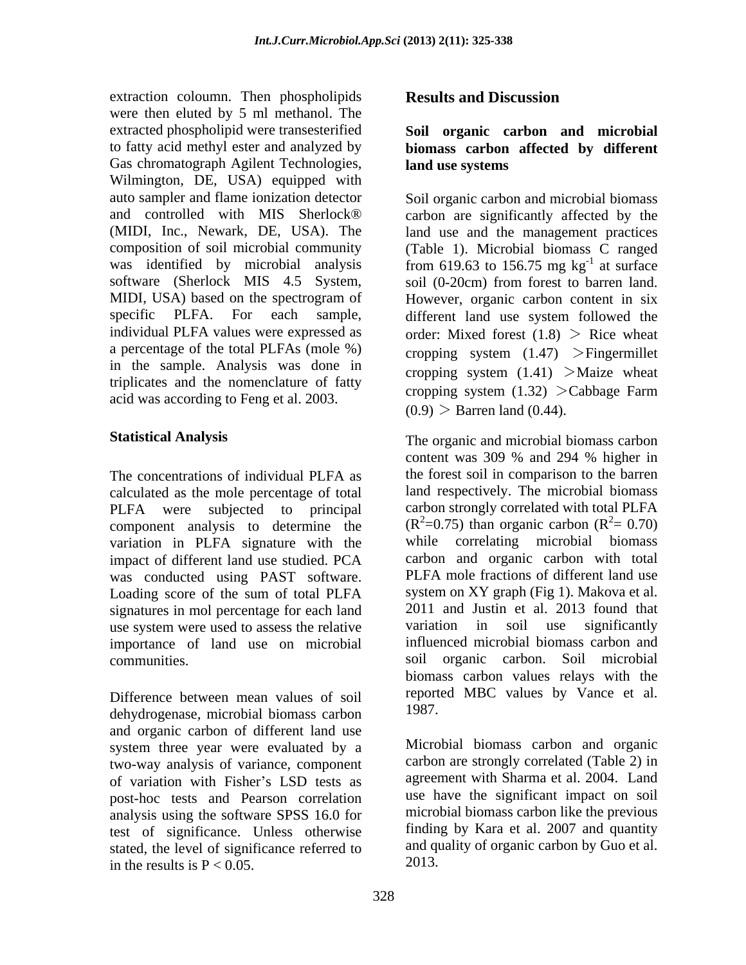extraction coloumn. Then phospholipids Results and Discussion were then eluted by 5 ml methanol. The extracted phospholipid were transesterified **Soil organic carbon and microbial** to fatty acid methyl ester and analyzed by **biomass carbon affected by different** Gas chromatograph Agilent Technologies, land use systems Wilmington, DE, USA) equipped with specific PLFA. For each sample, different land use system followed the a percentage of the total PLFAs (mole %) in the sample. Analysis was done in triplicates and the nomenclature of fatty<br>cropping system  $(1.32)$  >Cabbage Farm acid was according to Feng et al. 2003. extraction colours. Then phospholicies<br>is a contract to the phospholicies corrected phospholicies were then shutaff by the results in the results in the results in the results in the system of the results in the results in

calculated as the mole percentage of total PLFA were subjected to principal component analysis to determine the variation in PLFA signature with the while correlating microbial biomass impact of different land use studied. PCA was conducted using PAST software. Loading score of the sum of total PLFA signatures in mol percentage for each land use system were used to assess the relative variation in soil use significantly importance of land use on microbial

Difference between mean values of soil free report<br>debydrogenese microbial biomass carbon 1987. dehydrogenase, microbial biomass carbon and organic carbon of different land use system three year were evaluated by a two-way analysis of variance, component of variation with Fisher's LSD tests as post-hoc tests and Pearson correlation analysis using the software SPSS 16.0 for test of significance. Unless otherwise stated, the level of significance referred to<br>in the results is  $P < 0.05$ .

# **land use systems**

auto sampler and flame ionization detector Soil organic carbon and microbial biomass and controlled with MIS Sherlock® carbon are significantly affected by the (MIDI, Inc., Newark, DE, USA). The land use and the management practices composition of soil microbial community (Table 1). Microbial biomass C ranged was identified by microbial analysis from 619.63 to 156.75 mg  $kg^{-1}$  at surface software (Sherlock MIS 4.5 System, soil (0-20cm) from forest to barren land. MIDI, USA) based on the spectrogram of However, organic carbon content in six individual PLFA values were expressed as  $\qquad \text{order: Mixed forest} \ (1.8) > \text{Rice}$  wheat  $-1$  of surface at surface However, organic carbon content in six different land use system followed the cropping system  $(1.47)$  > Fingermillet cropping system  $(1.41)$  >Maize wheat cropping system  $(1.32)$  > Cabbage Farm  $(0.9)$  > Barren land  $(0.44)$ .

**Statistical Analysis**  The organic and microbial biomass carbon The concentrations of individual PLFA as the forest soil in comparison to the barren communities. soil organic carbon. Soil microbial content was 309 % and 294 % higher in the forest soil in comparison to the barren land respectively. The microbial biomass carbon strongly correlated with total PLFA  $(R^2=0.75)$  than organic carbon  $(R^2=0.70)$  $z^2 = 0.70$ while correlating microbial biomass carbon and organic carbon with total PLFA mole fractions of different land use system on XY graph (Fig 1). Makova et al. 2011 and Justin et al. 2013 found that variation in soil use significantly influenced microbial biomass carbon and biomass carbon values relays with the reported MBC values by Vance et al. 1987.

> Microbial biomass carbon and organic carbon are strongly correlated (Table 2) in agreement with Sharma et al. 2004. Land use have the significant impact on soil microbial biomass carbon like the previous finding by Kara et al. 2007 and quantity and quality of organic carbon by Guo et al. 2013.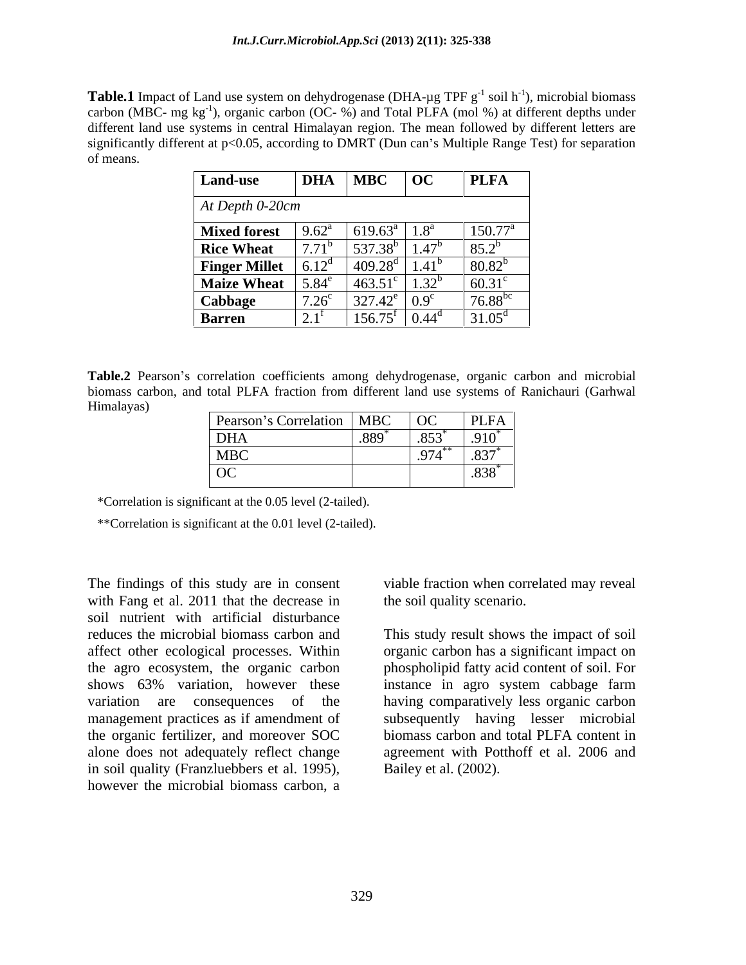**Table.1** Impact of Land use system on dehydrogenase (DHA- $\mu$ g TPF g<sup>-1</sup> soil h<sup>-1</sup>), microbial biomass  $^{-1}$  migrabial biomage ), microbial biomass carbon (MBC- mg  $kg^{-1}$ ), organic carbon (OC- %) and Total PLFA (mol %) at different depths under different land use systems in central Himalayan region. The mean followed by different letters are significantly different at  $p<0.05$ , according to DMRT (Dun can's Multiple Range Test) for separation of means.

| <b>Land-use</b>      | <b>DHA</b>                             | <b>MBC</b>                       | $\overline{OC}$           | <b>PLFA</b>      |
|----------------------|----------------------------------------|----------------------------------|---------------------------|------------------|
| $At Depth 0-20cm$    |                                        |                                  |                           |                  |
| <b>Mixed forest</b>  | $9.62^{\text{a}}$                      | 619.63 $^{a}$                    | 1.0                       | $150.77^{\rm a}$ |
| <b>Rice Wheat</b>    | 771 <sup>b</sup><br>. . <i>.</i> 1     | $537.38^{b}$                     | $A \rightarrow D$<br>1.47 | $85.2^{b}$       |
| <b>Finger Millet</b> | $\epsilon$ 10 $^{\circ}$<br>, <u>.</u> | 100 $\alpha$<br>റ്റ്യ<br>ס⊿.∠טד  | $1 + 1$                   | $80.82^{b}$      |
| <b>Maize Wheat</b>   | $5.81^\circ$<br>דט. ש                  | $463.51^{\circ}$                 | $\sqrt{22^b}$<br>1.JA     | 60.31            |
| Cabbage              | $7.26^{\circ}$                         | 227<br>10 <sup>o</sup><br>321.42 |                           | $76.88^{b}$      |
| <b>Barren</b>        |                                        | $156.75^{\text{t}}$              | $0.44^{\circ}$            | $31.05^{\rm d}$  |

Table.2 Pearson's correlation coefficients among dehydrogenase, organic carbon and microbial biomass carbon, and total PLFA fraction from different land use systems of Ranichauri (Garhwal Himalayas)

| Pearson's Correlation   MBC |                                     | $\sqrt{2}$                   | $ $ PLFA $ $                                              |
|-----------------------------|-------------------------------------|------------------------------|-----------------------------------------------------------|
| <b>DHA</b>                  | $\sim$ $\sim$ $\sim$ $\sim$<br>.889 | $QEQ^*$<br>د د ه<br>---<br>— | $\overline{1}$                                            |
| <b>MBC</b>                  |                                     | $\Omega$                     | $\sim$ $\sim$ $\sim$<br>.83 <sup>°</sup>                  |
| OC                          |                                     |                              | $\sim$ $\sim$ $\sim$ $\sim$<br>$\times$ $\times$ $\times$ |

\*Correlation is significant at the 0.05 level (2-tailed).

\*\*Correlation is significant at the 0.01 level (2-tailed).

The findings of this study are in consent viable fraction when correlated may reveal with Fang et al. 2011 that the decrease in soil nutrient with artificial disturbance reduces the microbial biomass carbon and This study result shows the impact of soil affect other ecological processes. Within organic carbon has a significant impact on the agro ecosystem, the organic carbon shows 63% variation, however these instance in agro system cabbage farm variation are consequences of the having comparatively less organic carbon management practices as if amendment of subsequently having lesser microbial the organic fertilizer, and moreover SOC biomass carbon and total PLFA content in alone does not adequately reflect change in soil quality (Franzluebbers et al. 1995), Bailey et al. (2002).<br>however the microbial biomass carbon, a

the soil quality scenario.

phospholipid fatty acid content of soil. For instance in agro system cabbage farm agreement with Potthoff et al. 2006 and Bailey et al. (2002).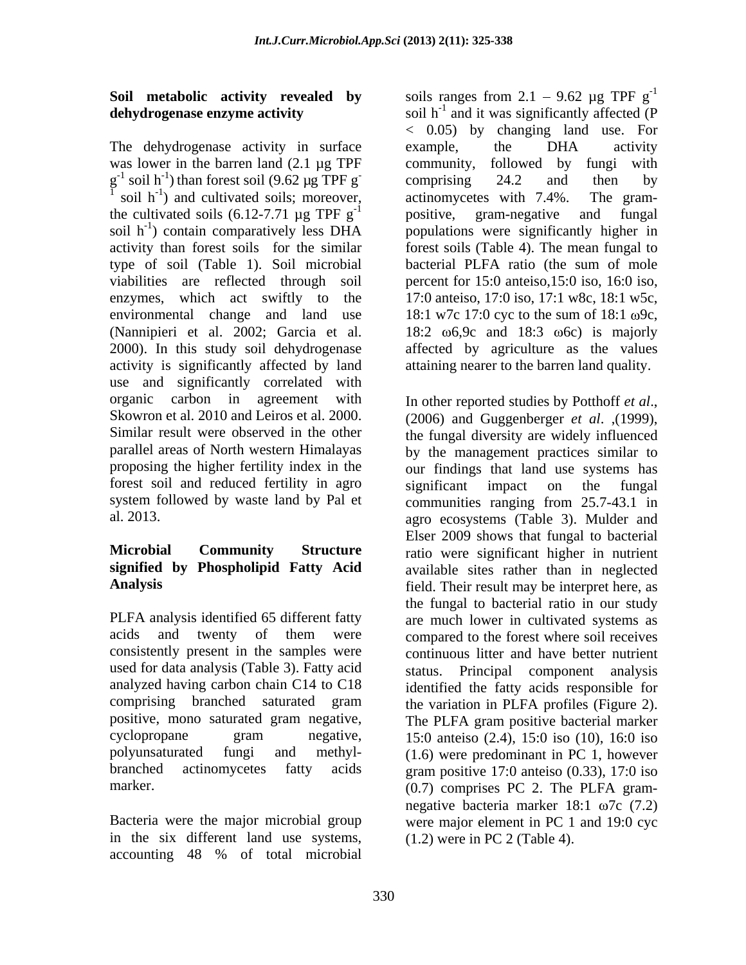## **Soil metabolic activity revealed by** soils ranges from 2.1 – 9.62  $\mu$ g TPF g<sup>-1</sup>

The dehydrogenase activity in surface example, the DHA activity was lower in the barren land (2.1 µg TPF community, followed by fungi with the cultivated soils (6.12-7.71  $\mu$ g TPF g<sup>-1</sup> positive, gram-negative and fungal type of soil (Table 1). Soil microbial activity is significantly affected by land use and significantly correlated with organic carbon in agreement with In other reported studies by Potthoff et al., Skowron et al. 2010 and Leiros et al. 2000. (2006) and Guggenberger *et al.* (1999). Similar result were observed in the other the fungal diversity are widely influenced forest soil and reduced fertility in agro significant impact on the fungal

# **signified by Phospholipid Fatty Acid**

consistently present in the samples were used for data analysis (Table 3). Fatty acid analyzed having carbon chain C14 to C18

in the six different land use systems, accounting 48 % of total microbial

**dehydrogenase enzyme activity** soil h<sup>-1</sup> and it was significantly affected (P soils ranges from  $2.1 - 9.62 \mu g$  TPF  $g^{-1}$ -1 < 0.05) by changing land use. For example, the DHA activity  $g^{-1}$  soil h<sup>-1</sup>) than forest soil (9.62 µg TPF g<sup>-</sup> comprising 24.2 and then by soil  $h^{-1}$ ) and cultivated soils; moreover, actinomycetes with 7.4%. The grampositive, gram-negative soil h<sup>-1</sup>) contain comparatively less DHA populations were significantly higher in activity than forest soils for the similar forest soils (Table 4). The mean fungal to viabilities are reflected through soil percent for 15:0 anteiso,15:0 iso, 16:0 iso, enzymes, which act swiftly to the 17:0 anteiso, 17:0 iso, 17:1 w8c, 18:1 w5c, environmental change and land use  $18:1 \text{ w7c } 17:0 \text{ cyc to the sum of } 18:1 \text{ w9c}$ , (Nannipieri et al. 2002; Garcia et al.  $18:2 \, 0.69c$  and  $18:3 \, 0.6c$ ) is majorly 2000). In this study soil dehydrogenase affected by agriculture as the values community, followed by fungi with comprising 24.2 and then by actinomycetes with 7.4%. The gram positive, gram-negative and fungal bacterial PLFA ratio (the sum of mole attaining nearer to the barren land quality.

parallel areas of North western Himalayas by the management practices similar to proposing the higher fertility index in the our findings that land use systems has system followed by waste land by Pal et communities ranging from 25.7-43.1 in al. 2013. agro ecosystems (Table 3). Mulder and **Microbial Community Structure** ratio were significant higher in nutrient Analysis **Analysis** field. Their result may be interpret here, as PLFA analysis identified 65 different fatty are much lower in cultivated systems as acids and twenty of them were compared to the forest where soil receives comprising branched saturated gram the variation in PLFA profiles (Figure 2). positive, mono saturated gram negative, The PLFA gram positive bacterial marker cyclopropane gram negative, 15:0 anteiso (2.4), 15:0 iso (10), 16:0 iso polyunsaturated fungi and methyl- (1.6) were predominant in PC 1, however branched actinomycetes fatty acids gram positive 17:0 anteiso (0.33), 17:0 iso marker. (0.7) comprises PC 2. The PLFA gram-Bacteria were the major microbial group were major element in PC 1 and 19:0 cyc In other reported studies by Potthoff *et al*.,(2006) and Guggenberger *et al*. ,(1999), the fungal diversity are widely influenced significant impact on the fungal Elser 2009 shows that fungal to bacterial available sites rather than in neglected the fungal to bacterial ratio in our study continuous litter and have better nutrient Principal component analysis identified the fatty acids responsible for negative bacteria marker  $18:1$   $\omega$ 7c (7.2) (1.2) were in PC 2 (Table 4).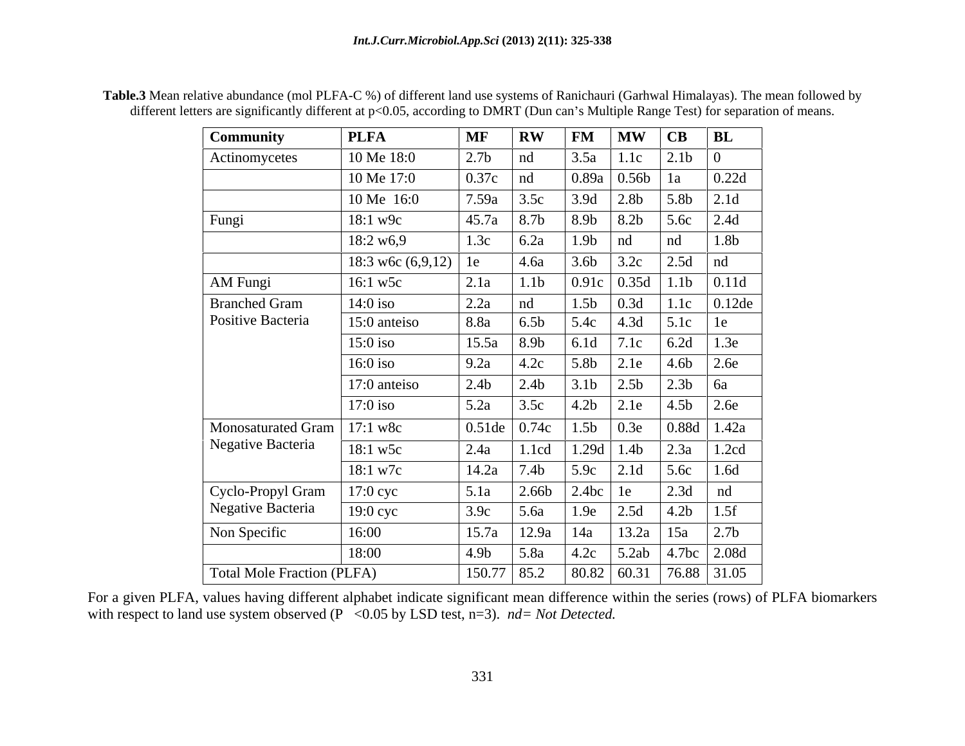| <b>Community</b>                   | <b>PLFA</b>            | MF RW                                          |                    | $\boxed{\text{FM}}$ $\boxed{\text{MW}}$ $\boxed{\text{CB}}$ $\boxed{\text{BL}}$                                                            |  |
|------------------------------------|------------------------|------------------------------------------------|--------------------|--------------------------------------------------------------------------------------------------------------------------------------------|--|
| Actinomycetes                      | 10 Me 18:0             | 2.7 <sub>b</sub>                               | nd                 | $3.5a$   1.1c   2.1b                                                                                                                       |  |
|                                    | 10 Me 17:0             | $0.37c$ nd                                     |                    | 0.89a 0.56b 1a                                                                                                                             |  |
|                                    | 10 Me 16:0             | 7.59a                                          | $\vert 3.5c \vert$ |                                                                                                                                            |  |
| Fungi                              | $18:1 \text{ w}9c$     | 45.7a   8.7b                                   |                    |                                                                                                                                            |  |
|                                    | 18:2 w6,9              | 1.3c $\big $ 6.2a                              |                    | 0.89a 0.56b 1a 0.22d<br>3.9d 2.8b 5.8b 2.1d<br>8.9b 8.2b 5.6c 2.4d<br>1.9b nd nd 1.8b<br>3.6b 3.2c 2.5d nd                                 |  |
|                                    | 18:3 w6c $(6,9,12)$ 1e |                                                | 4.6a               |                                                                                                                                            |  |
| <b>AM</b> Fungi                    | 16:1 w5c               | 2.1a                                           | 1.1 <sub>b</sub>   | $\vert 0.91c \vert 0.35d \vert 1.1b \vert 0.11d$                                                                                           |  |
|                                    | $14:0$ iso             | 2.2a                                           | nd                 | 1.5b 0.3d 1.1c 0.12de                                                                                                                      |  |
| Branched Gram<br>Positive Bacteria | 15:0 anteiso           | 8.8a                                           | 6.5 <sub>b</sub>   |                                                                                                                                            |  |
|                                    | $15:0$ iso             | $15.5a$ 8.9b                                   |                    | 5.4c 4.3d 5.1c 1e<br>6.1d 7.1c 6.2d 1.3e                                                                                                   |  |
|                                    | $16:0$ iso             | 9.2a $\begin{vmatrix} 4.2c \end{vmatrix}$      |                    |                                                                                                                                            |  |
|                                    | 17:0 anteiso           | 2.4b                                           | $\vert$ 2.4b       | 5.8b 2.1e 4.6b 2.6e<br>3.1b 2.5b 2.3b 6a<br>4.2b 2.1e 4.5b 2.6e                                                                            |  |
|                                    | $17:0$ iso             | $\begin{array}{ c c }$ 5.2a $\end{array}$ 3.5c |                    |                                                                                                                                            |  |
| Monosaturated Gram   17:1 w8c      |                        |                                                |                    | 0.51de 0.74c 1.5b 0.3e 0.88d 1.42a                                                                                                         |  |
| Negative Bacteria                  | 18:1 w5c               |                                                |                    |                                                                                                                                            |  |
|                                    | $18:1 \text{ w7c}$     |                                                |                    |                                                                                                                                            |  |
| Cyclo-Propyl Gram                  | 17:0 cyc               |                                                |                    | 2.4a 1.1cd 1.29d 1.4b 2.3a 1.2cd<br>14.2a 7.4b 5.9c 2.1d 5.6c 1.6d<br>5.1a 2.66b 2.4bc 1e 2.3d nd                                          |  |
| Negative Bacteria                  | 19:0 cyc               |                                                |                    |                                                                                                                                            |  |
| Non Specific                       | 16:00                  |                                                |                    |                                                                                                                                            |  |
|                                    | 18:00                  |                                                |                    | 3.9c 5.6a 1.9e 2.5d 4.2b 1.5f<br>15.7a 12.9a 14a 13.2a 15a 2.7b<br>4.9b 5.8a 4.2c 5.2ab 4.7bc 2.08d<br>150.77 85.2 80.82 60.31 76.88 31.05 |  |
| Total Mole Fraction (PLFA)         |                        |                                                |                    |                                                                                                                                            |  |

**Table.3** Mean relative abundance (mol PLFA-C %) of different land use systems of Ranichauri (Garhwal Himalayas). The mean followed by different letters are significantly different at p<0.05, according to DMRT (Dun can's Multiple Range Test) for separation of means.

For a given PLFA, values having different alphabet indicate significant mean difference within the series (rows) of PLFA biomarkers with respect to land use system observed (P < 0.05 by LSD test, n=3). *nd* = Not Detected.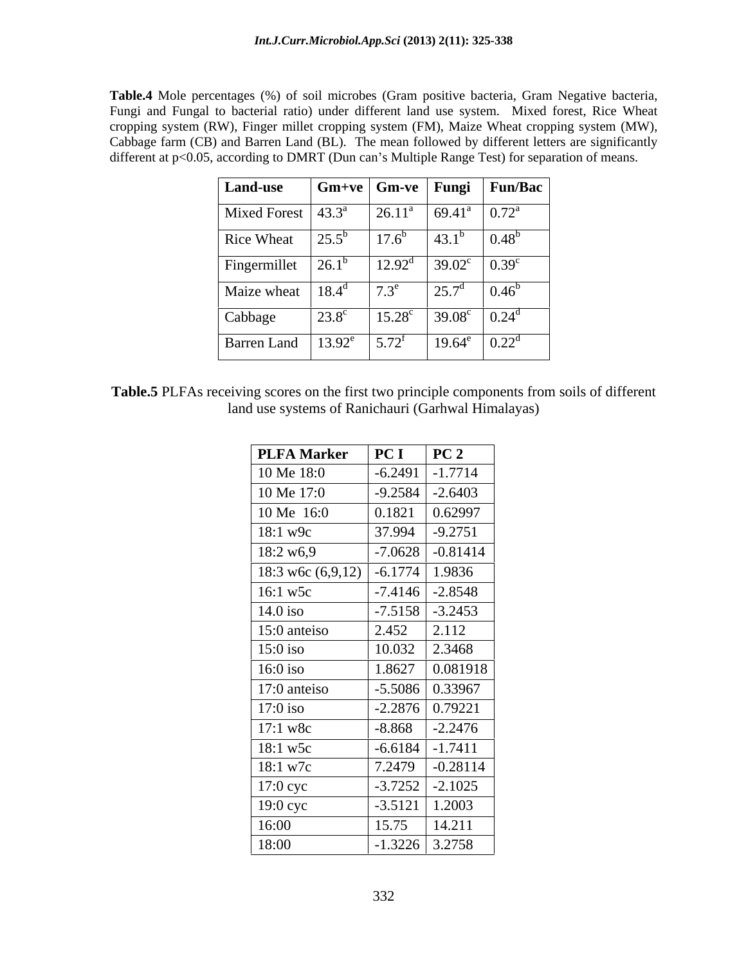**Table.4** Mole percentages (%) of soil microbes (Gram positive bacteria, Gram Negative bacteria, Fungi and Fungal to bacterial ratio) under different land use system. Mixed forest, Rice Wheat cropping system (RW), Finger millet cropping system (FM), Maize Wheat cropping system (MW), Cabbage farm (CB) and Barren Land (BL). The mean followed by different letters are significantly different at p<0.05, according to DMRT (Dun can's Multiple Range Test) for separation of means.

| <b>Land-use</b>               | $\mid$ Gm+ve $\mid$ Gm-ve $\mid$ Fungi |                     |                 | Fun/Bac                     |
|-------------------------------|----------------------------------------|---------------------|-----------------|-----------------------------|
| Mixed Forest $ 43.3^{\circ} $ |                                        | $26.11^{\circ}$     | $69.41^{\circ}$ | $\mid 0.72^{\circ}$         |
| Rice Wheat                    | $25.5^{b}$                             | $17.6^b$            | $43.1^{b}$      | $ 0.48^{b} $                |
| Fingermillet                  | $26.1^{\circ}$                         | $12.92^{\text{d}}$  | $39.02^{\circ}$ | $\vert 0.39^\circ$          |
| Maize wheat                   | $18.4^{\rm d}$                         | $7.3^e$             | $25.7^{\circ}$  | $ 0.46^{\circ} $            |
| Cabbage                       | $23.8^\circ$                           | $15.28^{\circ}$     | $39.08^{\circ}$ | $\left[0.24^{\circ}\right]$ |
| <b>Barren Land</b>            | $13.92^e$                              | $5.72^{\mathrm{f}}$ | $19.64^e$       | $\vert 0.22^d \vert$        |

| $\cdots$<br>$\cdot$ DI .<br>Table<br><sup>+</sup> different<br>$\gamma$ principle<br>$:$ trom<br>$+1$<br>comp<br>e firs<br>$\gamma$ onents 1.<br>i soils of<br>scores on the<br>eiving sc<br>. LW'<br> |
|--------------------------------------------------------------------------------------------------------------------------------------------------------------------------------------------------------|
| ` Ran<br>U Himalayas)<br>≅ms of<br>'and u<br>`arhwal .<br>-SVSt<br>chaur<br>11 S.A.<br>10 T.                                                                                                           |

| <b>PLFA Marker</b>  | PC I      | PC <sub>2</sub>     |
|---------------------|-----------|---------------------|
| 10 Me 18:0          | $-6.2491$ | $-1.7714$           |
| 10 Me 17:0          | $-9.2584$ | $-2.6403$           |
| 10 Me 16:0          | 0.1821    | 0.62997             |
| $18:1$ w9c          | 37.994    | $-9.2751$           |
| 18:2 w6,9           | $-7.0628$ | $-0.81414$          |
| 18:3 w6c $(6,9,12)$ | $-6.1774$ | 1.9836              |
| 16:1 w5c            |           | $-7.4146$ $-2.8548$ |
| $14.0$ iso          | $-7.5158$ | $-3.2453$           |
| 15:0 anteiso        | 2.452     | 2.112               |
| $15:0$ iso          | 10.032    | 2.3468              |
| $16:0$ iso          | 1.8627    | 0.081918            |
| 17:0 anteiso        |           | $-5.5086$ 0.33967   |
| $17:0$ iso          |           | $-2.2876$ 0.79221   |
| $17:1 \text{ w8c}$  | $-8.868$  | $-2.2476$           |
| 18:1 w5c            | $-6.6184$ | $-1.7411$           |
| 18:1 w7c            | 7.2479    | $-0.28114$          |
| $17:0$ cyc          | $-3.7252$ | $-2.1025$           |
| 19:0 cyc            | $-3.5121$ | 1.2003              |
| 16:00               | 15.75     | 14.211              |
| 18:00               |           | $-1.3226$ 3.2758    |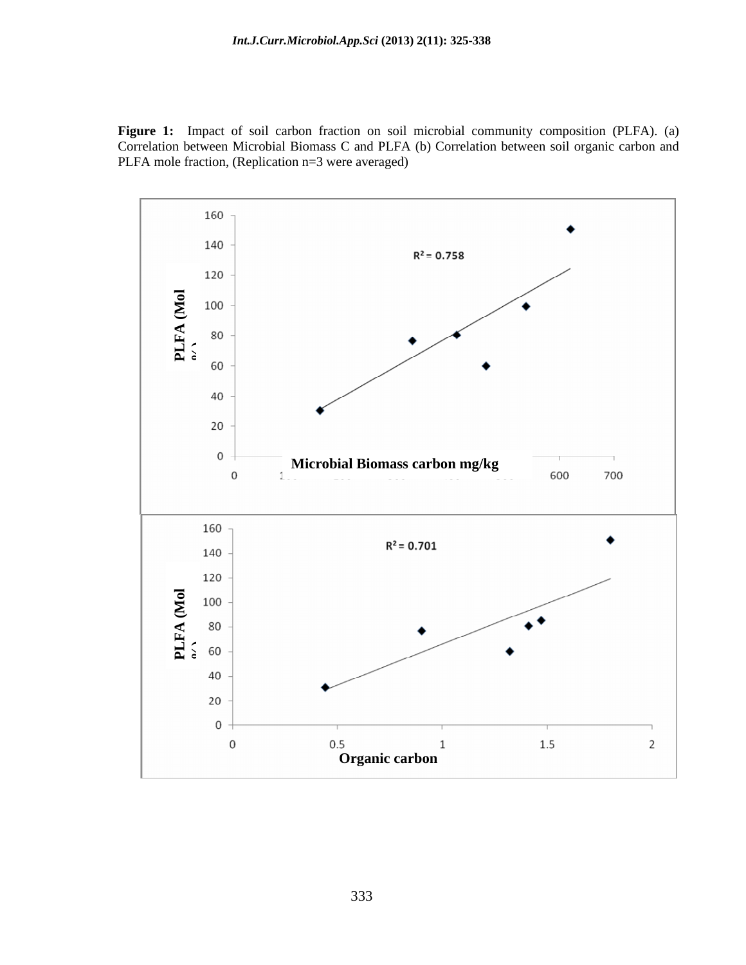**Figure 1:** Impact of soil carbon fraction on soil microbial community composition (PLFA). (a) Correlation between Microbial Biomass C and PLFA (b) Correlation between soil organic carbon and PLFA mole fraction, (Replication n=3 were averaged)

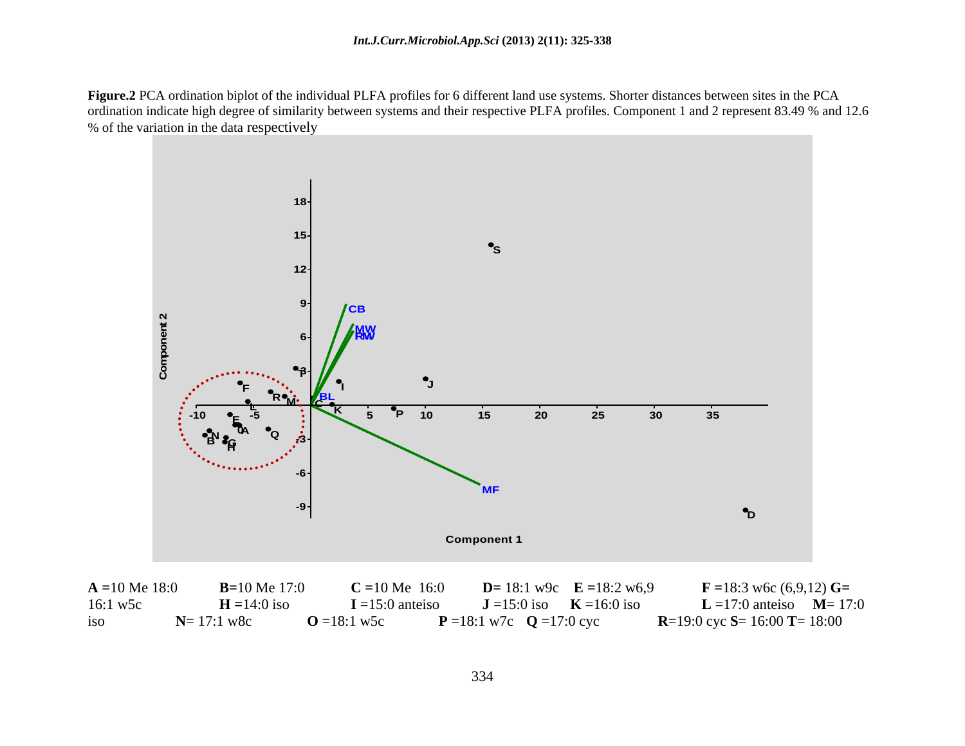**Figure.2** PCA ordination biplot of the individual PLFA profiles for 6 different land use systems. Shorter distances between sites in the PCA ordination indicate high degree of similarity between systems and their respective PLFA profiles. Component 1 and 2 represent 83.49 % and 12.6 % of the variation in the data respectively



**A =**10 Me 18:0 **B=**10 Me 17:0 **C =**10 Me 16:0 **D=** 18:1 w9c **E =**18:2 w6,9 **F =**18:3 w6c (6,9,12) **G=** 16:1 w5c **H =**14:0 iso **I** =15:0 anteiso **J** =15:0 iso **K** =16:0 iso **L** =17:0 anteiso **M**= 17:0 iso **N**= 17:1 w8c **O** =18:1 w5c **P** =18:1 w7c **Q** =17:0 cyc **R**=19:0 cyc **S**= 16:00 **T**= 18:00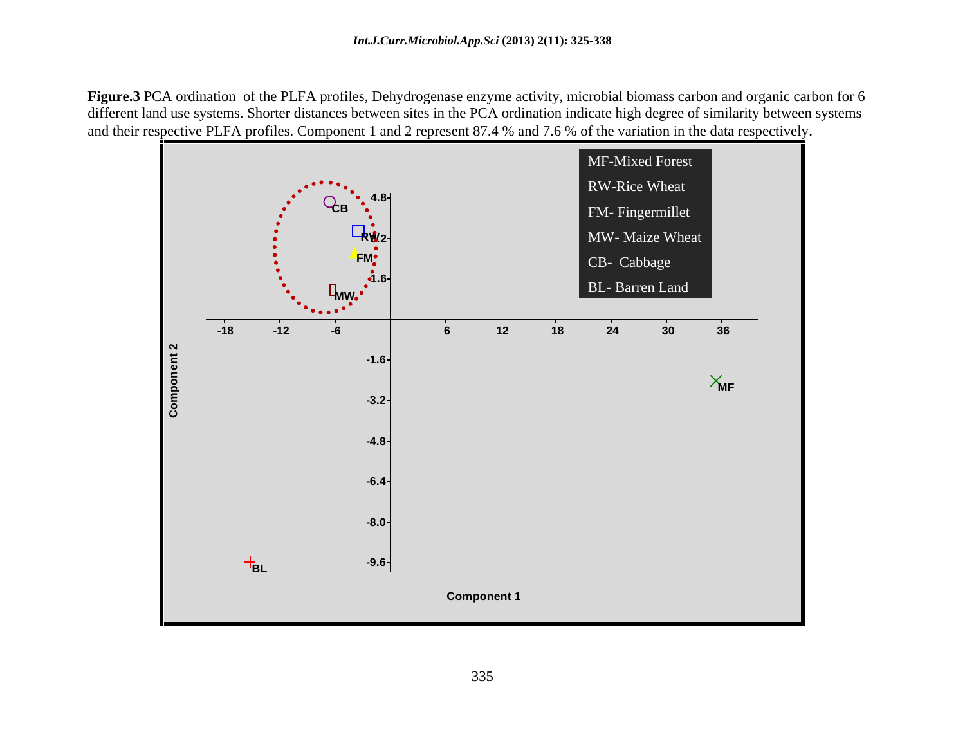**Figure.3** PCA ordination of the PLFA profiles, Dehydrogenase enzyme activity, microbial biomass carbon and organic carbon for 6 different land use systems. Shorter distances between sites in the PCA ordination indicate high degree of similarity between systems and their respective PLFA profiles. Component 1 and 2 represent 87.4 % and 7.6 % of the variation in the data respectively.

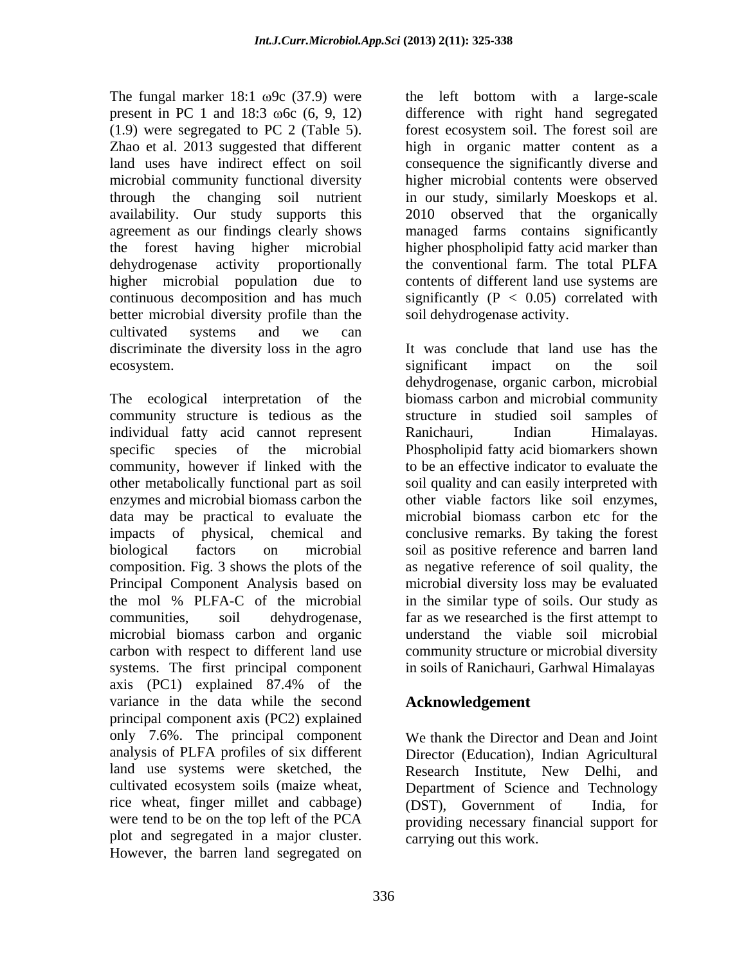dehydrogenase activity proportionally the conventional farm. The total PLFA higher microbial population due to better microbial diversity profile than the cultivated systems and we can

individual fatty acid cannot represent community, however if linked with the data may be practical to evaluate the composition. Fig. 3 shows the plots of the carbon with respect to different land use systems. The first principal component axis (PC1) explained 87.4% of the variance in the data while the second principal component axis (PC2) explained only 7.6%. The principal component analysis of PLFA profiles of six different Director (Education), Indian Agricultural land use systems were sketched, the Research Institute, New Delhi, and cultivated ecosystem soils (maize wheat, rice wheat, finger millet and cabbage) (DST), Government of India, for were tend to be on the top left of the PCA providing necessary financial support for plot and segregated in a major cluster. However, the barren land segregated on

The fungal marker  $18:1 \omega$ 9c (37.9) were the left bottom with a large-scale present in PC 1 and 18:3  $\omega$ 6c (6, 9, 12) difference with right hand segregated (1.9) were segregated to PC 2 (Table 5). forest ecosystem soil. The forest soil are Zhao et al. 2013 suggested that different high in organic matter content as a land uses have indirect effect on soil consequence the significantly diverse and microbial community functional diversity higher microbial contents were observed through the changing soil nutrient in our study, similarly Moeskops et al. availability. Our study supports this 2010 observed that the organically agreement as our findings clearly shows managed farms contains significantly the forest having higher microbial higher phospholipid fatty acid marker than  $\alpha$  continuous decomposition and has much significantly ( $P < 0.05$ ) correlated with the conventional farm. The total PLFA contents of different land use systems are soil dehydrogenase activity.

discriminate the diversity loss in the agro It was conclude that land use has the ecosystem. The soul of the soil significant impact on the soil The ecological interpretation of the biomass carbon and microbial community community structure is tedious as the structure in studied soil samples of specific species of the microbial Phospholipid fatty acid biomarkers shown other metabolically functional part as soil soil quality and can easily interpreted with enzymes and microbial biomass carbon the other viable factors like soil enzymes, impacts of physical, chemical and conclusive remarks. By taking the forest biological factors on microbial soil as positive reference and barren land Principal Component Analysis based on microbial diversity loss may be evaluated the mol % PLFA-C of the microbial in the similar type of soils. Our study as communities, soil dehydrogenase, far as we researched is the first attempt to microbial biomass carbon and organic understand the viable soil microbial significant impact on the soil dehydrogenase, organic carbon, microbial Ranichauri, Indian Himalayas. to be an effective indicator to evaluate the microbial biomass carbon etc for the as negative reference of soil quality, the community structure or microbial diversity in soils of Ranichauri, Garhwal Himalayas

## **Acknowledgement**

We thank the Director and Dean and Joint Research Institute, New Delhi, and Department of Science and Technology (DST), Government of carrying out this work.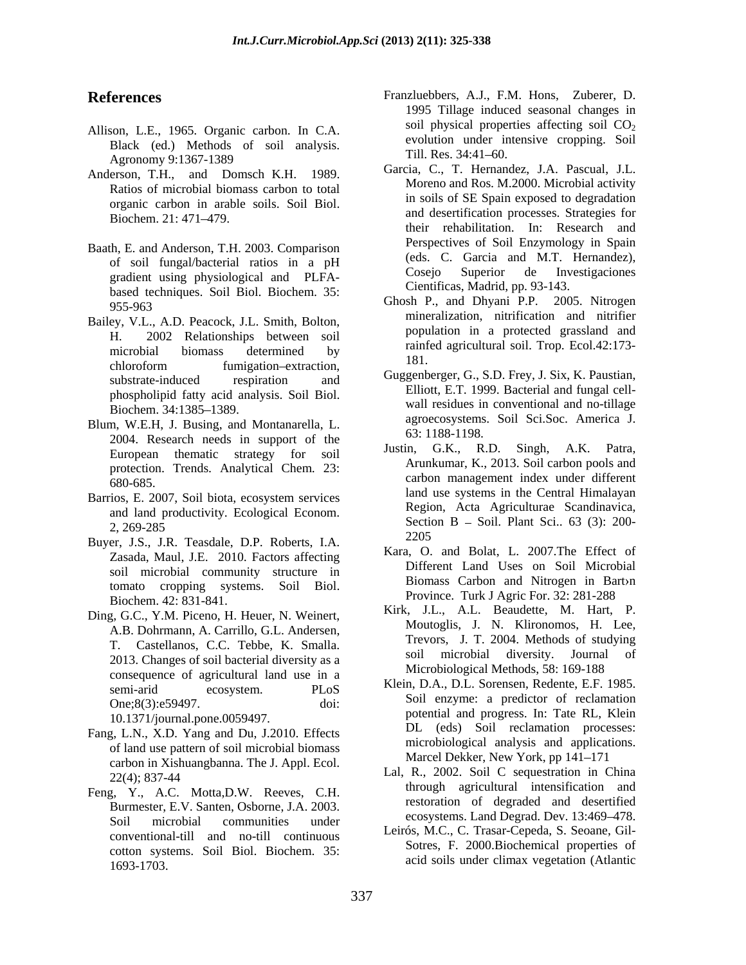- Allison, L.E., 1965. Organic carbon. In C.A. Black (ed.) Methods of soil analysis. <br>A subsequently C1267 1280 Agronomy 9:1367-1389  $\frac{1111}{2}$  and  $\frac{1111}{2}$  and  $\frac{1111}{2}$  and  $\frac{111}{2}$  and  $\frac{111}{2}$  and  $\frac{111}{2}$  and  $\frac{111}{2}$  and  $\frac{111}{2}$  and  $\frac{111}{2}$  and  $\frac{111}{2}$  and  $\frac{111}{2}$  and  $\frac{111}{2}$  and  $\frac{1$
- Anderson, T.H., and Domsch K.H. 1989. Ratios of microbial biomass carbon to total organic carbon in arable soils. Soil Biol.
- Baath, E. and Anderson, T.H. 2003. Comparison based techniques. Soil Biol. Biochem. 35:
- Bailey, V.L., A.D. Peacock, J.L. Smith, Bolton, H. 2002 Relationships between soil chloroform fumigation-extraction,  $\overline{A}$  of  $\overline{A}$  or  $\overline{A}$  or  $\overline{A}$  or  $\overline{A}$  or  $\overline{A}$  or  $\overline{A}$  or  $\overline{A}$  or  $\overline{A}$  or  $\overline{A}$  or  $\overline{A}$  or  $\overline{A}$  or  $\overline{A}$  or  $\overline{A}$  or  $\overline{A}$  or  $\overline{A}$ phospholipid fatty acid analysis. Soil Biol.
- Blum, W.E.H, J. Busing, and Montanarella, L. agroecosystems<br>
2004 B 2004. Research needs in support of the European thematic strategy for soil protection. Trends. Analytical Chem. 23:
- and land productivity. Ecological Econom.
- Buyer, J.S., J.R. Teasdale, D.P. Roberts, I.A. Zasada, Maul, J.E. 2010. Factors affecting soil microbial community structure in tomato cropping systems. Soil Biol.
- Ding, G.C., Y.M. Piceno, H. Heuer, N. Weinert, A.B. Dohrmann, A. Carrillo, G.L. Andersen, 2013. Changes of soil bacterial diversity as a consequence of agricultural land use in a

10.1371/journal.pone.0059497.

- Fang, L.N., X.D. Yang and Du, J.2010. Effects of land use pattern of soil microbial biomass carbon in Xishuangbanna. The J. Appl. Ecol.
- Feng, Y., A.C. Motta,D.W. Reeves, C.H. Burmester, E.V. Santen, Osborne, J.A. 2003. Soil microbial communities under  $\frac{1}{2}$  cosystems. Land Degrad. Dev. 15.409–476. conventional-till and no-till continuous cotton systems. Soil Biol. Biochem. 35: 1693-1703. acid soils under climax vegetation (Atlantic
- **References** Franzluebbers, A.J., F.M. Hons, Zuberer, D. 1995 Tillage induced seasonal changes in soil physical properties affecting soil  $CO<sub>2</sub>$ evolution under intensive cropping. Soil Till. Res. 34:41–60.
	- Biochem. 21: 471–479. **Exercísie and Solution** and described to processes. Strategies for of soil fungal/bacterial ratios in a pH gradient using physiological and PLFA-<br>
	Cosejo Superior de Investigaciones Garcia, C., T. Hernandez, J.A. Pascual, J.L. Moreno and Ros. M.2000. Microbial activity in soils of SE Spain exposed to degradation and desertification processes. Strategies for their rehabilitation. In: Research and Perspectives of Soil Enzymology in Spain (eds. C. Garcia and M.T. Hernandez), Cosejo Superior de Investigaciones Cientificas, Madrid, pp. 93-143.
	- $955-963$  Unosn P., and Dnyam P.P.  $2003$ . Nurogen microbial biomass determined by  $\frac{1}{2}$  and  $\frac{1}{2}$  and  $\frac{1}{2}$  and  $\frac{1}{2}$  and  $\frac{1}{2}$  and  $\frac{1}{2}$  and  $\frac{1}{2}$  and  $\frac{1}{2}$  and  $\frac{1}{2}$  and  $\frac{1}{2}$  and  $\frac{1}{2}$  and  $\frac{1}{2}$  and  $\frac{1}{2}$  and  $\frac{1}{2$ Ghosh P., and Dhyani P.P. 2005. Nitrogen mineralization, nitrification and nitrifier population in a protected grassland and rainfed agricultural soil. Trop. Ecol.42:173- 181.
	- substrate-induced respiration and  $Guggenver, G, S.D. Frey, J. SIX, K. Paulau,$ Biochem. 34:1385 1389. Guggenberger, G., S.D. Frey, J. Six, K. Paustian, Elliott, E.T. 1999. Bacterial and fungal cell wall residues in conventional and no-tillage agroecosystems. Soil Sci.Soc. America J. 63: 1188-1198.
- 680-685. land use systems in the Central Himalayan Barrios, E. 2007, Soil biota, ecosystem services  $\frac{2,269-285}{2,269-285}$  Section B – Soil. Plant Sci.. 63 (3): 200-Justin, G.K., R.D. Singh, A.K. Patra, Arunkumar, K., 2013. Soil carbon pools and carbon management index under different Region, Acta Agriculturae Scandinavica, 2205
	- Kara, O. and Bolat, L. 2007.The Effect of Different Land Uses on Soil Microbial Biomass Carbon and Nitrogen in Bart n Province. Turk J Agric For. 32: 281-288
	- Biochem. 42: 831-841.<br>Rick, J.L., A.L. Beaudette, M. Hart, P. T. Castellanos, C.C. Tebbe, K. Smalla.<br>Soil microbial diversity. Journal of Moutoglis, J. N. Klironomos, H. Lee, Trevors, J. T. 2004. Methods of studying soil microbial diversity. Journal Microbiological Methods, 58: 169-188
	- semi-arid ecosystem. PLoS Neill, D.A., D.L. Sofensell, Require, E.F. 1965. One;8(3):e59497. doi:<br>
	doi: potential and progress. In: Tate RL, Klein<br>
	doi: potential and progress. In: Tate RL, Klein Klein, D.A., D.L. Sorensen, Redente, E.F. 1985. Soil enzyme: a predictor of reclamation DL (eds) Soil reclamation processes: microbiological analysis and applications. Marcel Dekker, New York, pp 141-171
	- 22(4); 837-44 Lat, R., 2002. Soil exequestration in China Lal, R., 2002. Soil C sequestration in China through agricultural intensification and restoration of degraded and desertified ecosystems. Land Degrad. Dev. 13:469-478.
		- Leirós, M.C., C. Trasar-Cepeda, S. Seoane, Gil- Sotres, F. 2000.Biochemical properties of